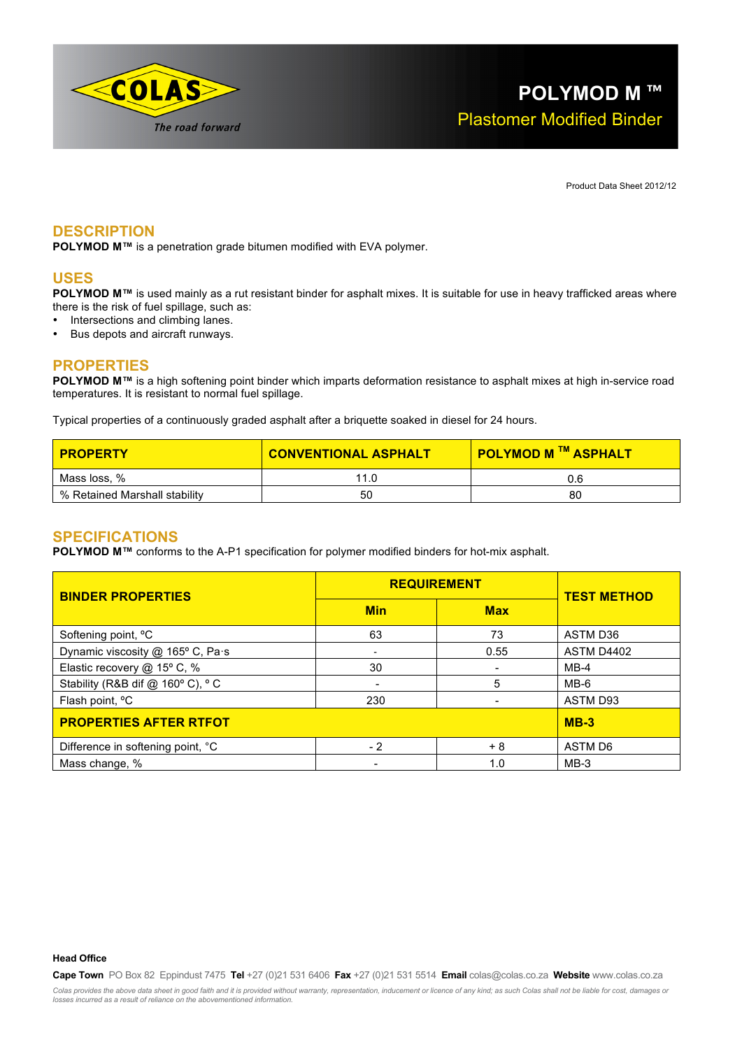

Product Data Sheet 2012/12

## **DESCRIPTION**

**POLYMOD M™** is a penetration grade bitumen modified with EVA polymer.

#### **USES**

**POLYMOD M™** is used mainly as a rut resistant binder for asphalt mixes. It is suitable for use in heavy trafficked areas where there is the risk of fuel spillage, such as:

- Intersections and climbing lanes.
- Bus depots and aircraft runways.

## **PROPERTIES**

**POLYMOD M™** is a high softening point binder which imparts deformation resistance to asphalt mixes at high in-service road temperatures. It is resistant to normal fuel spillage.

Typical properties of a continuously graded asphalt after a briquette soaked in diesel for 24 hours.

| <b>PROPERTY</b>               | <b>CONVENTIONAL ASPHALT</b> | <b>POLYMOD M ™ ASPHALT</b> |
|-------------------------------|-----------------------------|----------------------------|
| Mass loss, %                  | 11.0                        |                            |
| % Retained Marshall stability | 50                          | 80                         |

#### **SPECIFICATIONS**

**POLYMOD M™** conforms to the A-P1 specification for polymer modified binders for hot-mix asphalt.

| <b>BINDER PROPERTIES</b>          | <b>REQUIREMENT</b>       |            | <b>TEST METHOD</b> |
|-----------------------------------|--------------------------|------------|--------------------|
|                                   | <b>Min</b>               | <b>Max</b> |                    |
| Softening point, °C               | 63                       | 73         | ASTM D36           |
| Dynamic viscosity @ 165° C, Pa·s  | $\overline{\phantom{a}}$ | 0.55       | ASTM D4402         |
| Elastic recovery @ 15° C, %       | 30                       |            | $MB-4$             |
| Stability (R&B dif @ 160°C), °C   |                          | 5          | $MB-6$             |
| Flash point, <sup>o</sup> C       | 230                      |            | ASTM D93           |
| <b>PROPERTIES AFTER RTFOT</b>     | $MB-3$                   |            |                    |
| Difference in softening point, °C | $-2$                     | + 8        | ASTM D6            |
| Mass change, %                    | $\overline{\phantom{0}}$ | 1.0        | $MB-3$             |

**Head Office**

**Cape Town** PO Box 82 Eppindust 7475 **Tel** +27 (0)21 531 6406 **Fax** +27 (0)21 531 5514 **Email** colas@colas.co.za **Website** www.colas.co.za Colas provides the above data sheet in good faith and it is provided without warranty, representation, inducement or licence of any kind; as such Colas shall not be liable for cost, damages or<br>losses incurred as a result o